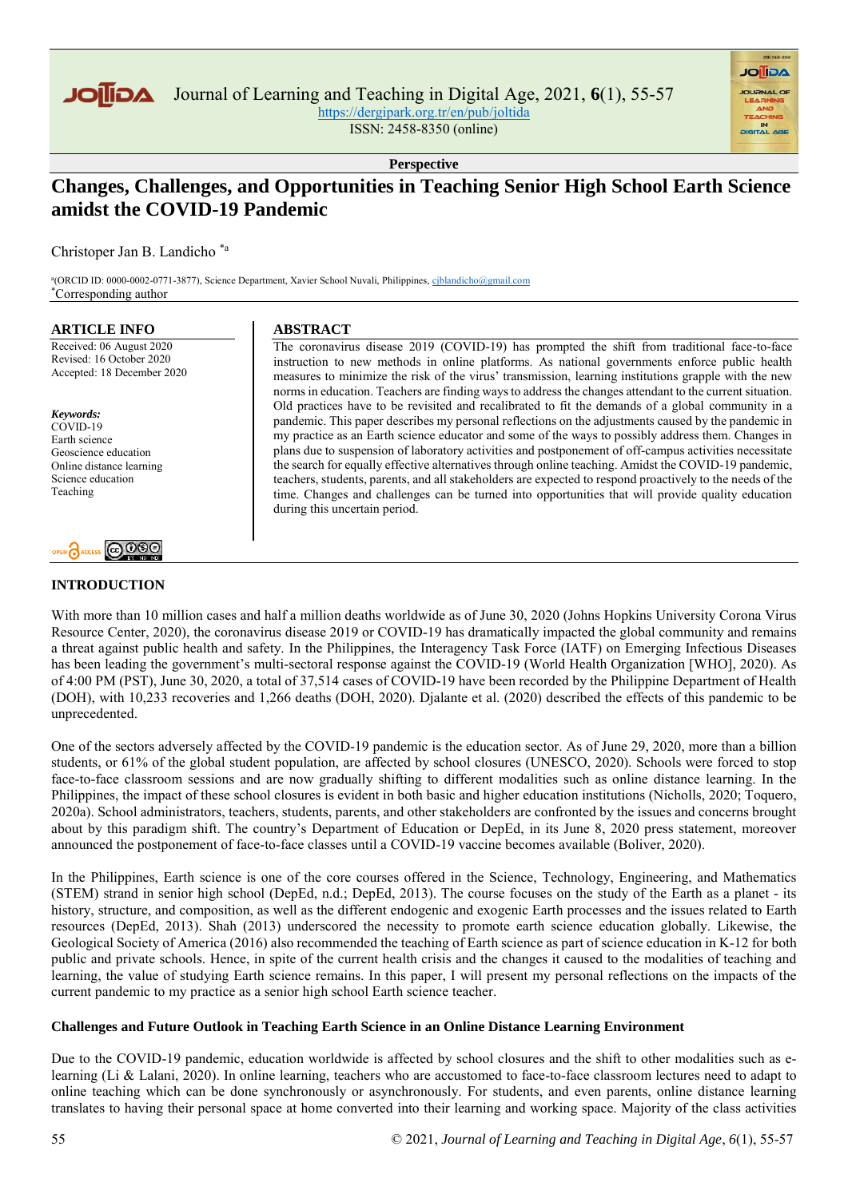

Journal of Learning and Teaching in Digital Age, 2021, **6**(1), 55-57

<https://dergipark.org.tr/en/pub/joltida> ISSN: 2458-8350 (online)

**AGIIOL** 

**Perspective**

# **Changes, Challenges, and Opportunities in Teaching Senior High School Earth Science amidst the COVID-19 Pandemic**

Christoper Jan B. Landicho \*a

<sup>a</sup>(ORCID ID: 0000-0002-0771-3877), Science Department, Xavier School Nuvali, Philippines, ciblandicho@gmail.com \*Corresponding author

#### **ARTICLE INFO**

Received: 06 August 2020 Revised: 16 October 2020 Accepted: 18 December 2020

*Keywords:* COVID-19 Earth science Geoscience education Online distance learning Science education Teaching



## **INTRODUCTION**

## **ABSTRACT**

The coronavirus disease 2019 (COVID-19) has prompted the shift from traditional face-to-face instruction to new methods in online platforms. As national governments enforce public health measures to minimize the risk of the virus' transmission, learning institutions grapple with the new norms in education. Teachers are finding ways to address the changes attendant to the current situation. Old practices have to be revisited and recalibrated to fit the demands of a global community in a pandemic. This paper describes my personal reflections on the adjustments caused by the pandemic in my practice as an Earth science educator and some of the ways to possibly address them. Changes in plans due to suspension of laboratory activities and postponement of off-campus activities necessitate the search for equally effective alternatives through online teaching. Amidst the COVID-19 pandemic, teachers, students, parents, and all stakeholders are expected to respond proactively to the needs of the time. Changes and challenges can be turned into opportunities that will provide quality education during this uncertain period.

With more than 10 million cases and half a million deaths worldwide as of June 30, 2020 (Johns Hopkins University Corona Virus Resource Center, 2020), the coronavirus disease 2019 or COVID-19 has dramatically impacted the global community and remains a threat against public health and safety. In the Philippines, the Interagency Task Force (IATF) on Emerging Infectious Diseases has been leading the government's multi-sectoral response against the COVID-19 (World Health Organization [WHO], 2020). As of 4:00 PM (PST), June 30, 2020, a total of 37,514 cases of COVID-19 have been recorded by the Philippine Department of Health (DOH), with 10,233 recoveries and 1,266 deaths (DOH, 2020). Djalante et al. (2020) described the effects of this pandemic to be unprecedented.

One of the sectors adversely affected by the COVID-19 pandemic is the education sector. As of June 29, 2020, more than a billion students, or 61% of the global student population, are affected by school closures (UNESCO, 2020). Schools were forced to stop face-to-face classroom sessions and are now gradually shifting to different modalities such as online distance learning. In the Philippines, the impact of these school closures is evident in both basic and higher education institutions (Nicholls, 2020; Toquero, 2020a). School administrators, teachers, students, parents, and other stakeholders are confronted by the issues and concerns brought about by this paradigm shift. The country's Department of Education or DepEd, in its June 8, 2020 press statement, moreover announced the postponement of face-to-face classes until a COVID-19 vaccine becomes available (Boliver, 2020).

In the Philippines, Earth science is one of the core courses offered in the Science, Technology, Engineering, and Mathematics (STEM) strand in senior high school (DepEd, n.d.; DepEd, 2013). The course focuses on the study of the Earth as a planet - its history, structure, and composition, as well as the different endogenic and exogenic Earth processes and the issues related to Earth resources (DepEd, 2013). Shah (2013) underscored the necessity to promote earth science education globally. Likewise, the Geological Society of America (2016) also recommended the teaching of Earth science as part of science education in K-12 for both public and private schools. Hence, in spite of the current health crisis and the changes it caused to the modalities of teaching and learning, the value of studying Earth science remains. In this paper, I will present my personal reflections on the impacts of the current pandemic to my practice as a senior high school Earth science teacher.

## **Challenges and Future Outlook in Teaching Earth Science in an Online Distance Learning Environment**

Due to the COVID-19 pandemic, education worldwide is affected by school closures and the shift to other modalities such as elearning (Li & Lalani, 2020). In online learning, teachers who are accustomed to face-to-face classroom lectures need to adapt to online teaching which can be done synchronously or asynchronously. For students, and even parents, online distance learning translates to having their personal space at home converted into their learning and working space. Majority of the class activities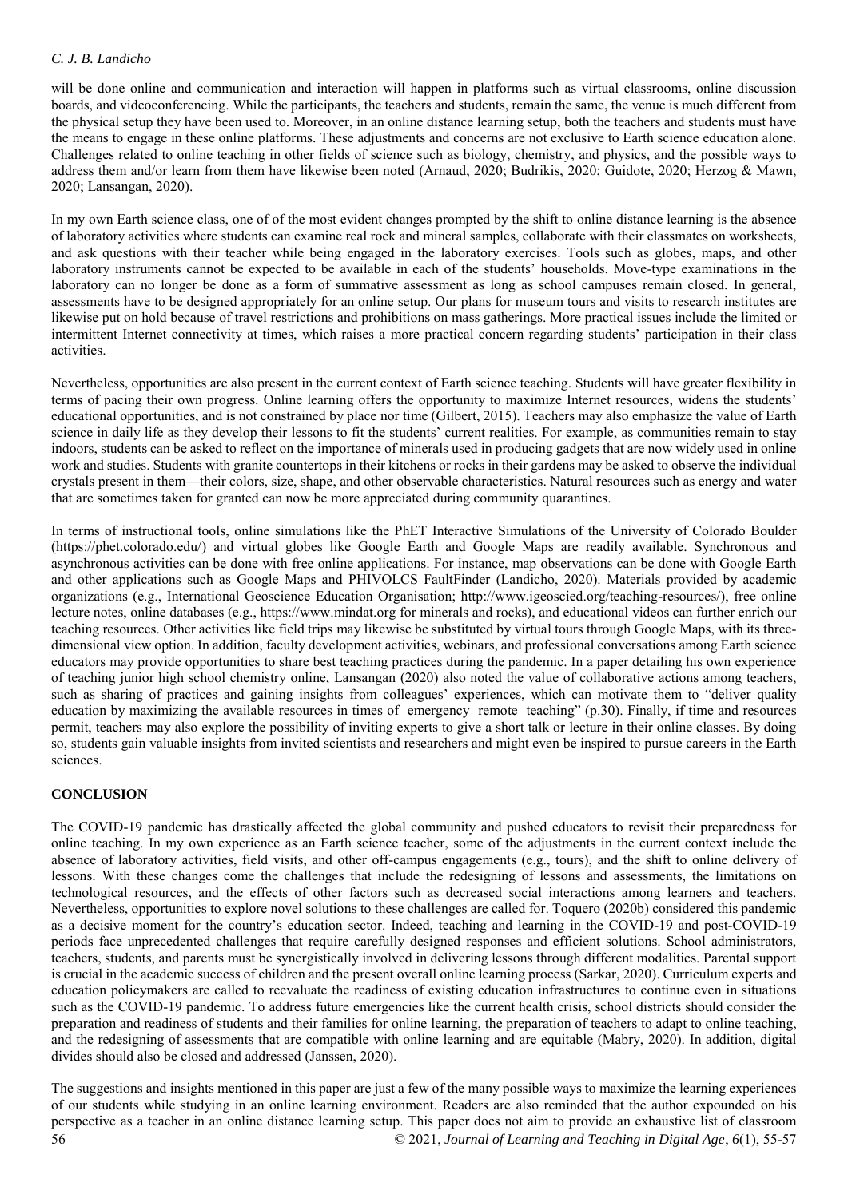will be done online and communication and interaction will happen in platforms such as virtual classrooms, online discussion boards, and videoconferencing. While the participants, the teachers and students, remain the same, the venue is much different from the physical setup they have been used to. Moreover, in an online distance learning setup, both the teachers and students must have the means to engage in these online platforms. These adjustments and concerns are not exclusive to Earth science education alone. Challenges related to online teaching in other fields of science such as biology, chemistry, and physics, and the possible ways to address them and/or learn from them have likewise been noted (Arnaud, 2020; Budrikis, 2020; Guidote, 2020; Herzog & Mawn, 2020; Lansangan, 2020).

In my own Earth science class, one of of the most evident changes prompted by the shift to online distance learning is the absence of laboratory activities where students can examine real rock and mineral samples, collaborate with their classmates on worksheets, and ask questions with their teacher while being engaged in the laboratory exercises. Tools such as globes, maps, and other laboratory instruments cannot be expected to be available in each of the students' households. Move-type examinations in the laboratory can no longer be done as a form of summative assessment as long as school campuses remain closed. In general, assessments have to be designed appropriately for an online setup. Our plans for museum tours and visits to research institutes are likewise put on hold because of travel restrictions and prohibitions on mass gatherings. More practical issues include the limited or intermittent Internet connectivity at times, which raises a more practical concern regarding students' participation in their class activities.

Nevertheless, opportunities are also present in the current context of Earth science teaching. Students will have greater flexibility in terms of pacing their own progress. Online learning offers the opportunity to maximize Internet resources, widens the students' educational opportunities, and is not constrained by place nor time (Gilbert, 2015). Teachers may also emphasize the value of Earth science in daily life as they develop their lessons to fit the students' current realities. For example, as communities remain to stay indoors, students can be asked to reflect on the importance of minerals used in producing gadgets that are now widely used in online work and studies. Students with granite countertops in their kitchens or rocks in their gardens may be asked to observe the individual crystals present in them—their colors, size, shape, and other observable characteristics. Natural resources such as energy and water that are sometimes taken for granted can now be more appreciated during community quarantines.

In terms of instructional tools, online simulations like the PhET Interactive Simulations of the University of Colorado Boulder [\(https://phet.colorado.edu/\)](https://phet.colorado.edu/) and virtual globes like Google Earth and Google Maps are readily available. Synchronous and asynchronous activities can be done with free online applications. For instance, map observations can be done with Google Earth and other applications such as Google Maps and PHIVOLCS FaultFinder (Landicho, 2020). Materials provided by academic organizations (e.g., International Geoscience Education Organisation; [http://www.igeoscied.org/teaching-resources/\)](http://www.igeoscied.org/teaching-resources/), free online lecture notes, online databases (e.g., [https://www.mindat.org](https://www.mindat.org/) for minerals and rocks), and educational videos can further enrich our teaching resources. Other activities like field trips may likewise be substituted by virtual tours through Google Maps, with its threedimensional view option. In addition, faculty development activities, webinars, and professional conversations among Earth science educators may provide opportunities to share best teaching practices during the pandemic. In a paper detailing his own experience of teaching junior high school chemistry online, Lansangan (2020) also noted the value of collaborative actions among teachers, such as sharing of practices and gaining insights from colleagues' experiences, which can motivate them to "deliver quality education by maximizing the available resources in times of emergency remote teaching" (p.30). Finally, if time and resources permit, teachers may also explore the possibility of inviting experts to give a short talk or lecture in their online classes. By doing so, students gain valuable insights from invited scientists and researchers and might even be inspired to pursue careers in the Earth sciences.

#### **CONCLUSION**

The COVID-19 pandemic has drastically affected the global community and pushed educators to revisit their preparedness for online teaching. In my own experience as an Earth science teacher, some of the adjustments in the current context include the absence of laboratory activities, field visits, and other off-campus engagements (e.g., tours), and the shift to online delivery of lessons. With these changes come the challenges that include the redesigning of lessons and assessments, the limitations on technological resources, and the effects of other factors such as decreased social interactions among learners and teachers. Nevertheless, opportunities to explore novel solutions to these challenges are called for. Toquero (2020b) considered this pandemic as a decisive moment for the country's education sector. Indeed, teaching and learning in the COVID-19 and post-COVID-19 periods face unprecedented challenges that require carefully designed responses and efficient solutions. School administrators, teachers, students, and parents must be synergistically involved in delivering lessons through different modalities. Parental support is crucial in the academic success of children and the present overall online learning process (Sarkar, 2020). Curriculum experts and education policymakers are called to reevaluate the readiness of existing education infrastructures to continue even in situations such as the COVID-19 pandemic. To address future emergencies like the current health crisis, school districts should consider the preparation and readiness of students and their families for online learning, the preparation of teachers to adapt to online teaching, and the redesigning of assessments that are compatible with online learning and are equitable (Mabry, 2020). In addition, digital divides should also be closed and addressed (Janssen, 2020).

56 © 2021, *Journal of Learning and Teaching in Digital Age*, *6*(1), 55-57 The suggestions and insights mentioned in this paper are just a few of the many possible ways to maximize the learning experiences of our students while studying in an online learning environment. Readers are also reminded that the author expounded on his perspective as a teacher in an online distance learning setup. This paper does not aim to provide an exhaustive list of classroom